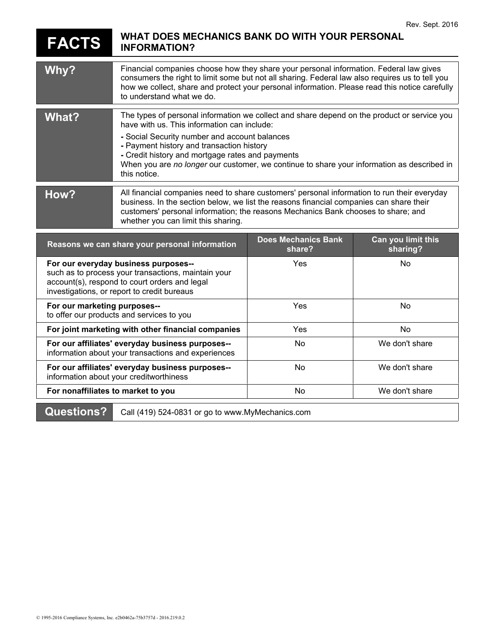## **FACTS WHAT DOES MECHANICS BANK DO WITH YOUR PERSONAL INFORMATION?**

| Why?                                                                                       | Financial companies choose how they share your personal information. Federal law gives<br>consumers the right to limit some but not all sharing. Federal law also requires us to tell you<br>how we collect, share and protect your personal information. Please read this notice carefully<br>to understand what we do.                                                                                   |                                      |                                |
|--------------------------------------------------------------------------------------------|------------------------------------------------------------------------------------------------------------------------------------------------------------------------------------------------------------------------------------------------------------------------------------------------------------------------------------------------------------------------------------------------------------|--------------------------------------|--------------------------------|
| What?                                                                                      | The types of personal information we collect and share depend on the product or service you<br>have with us. This information can include:<br>- Social Security number and account balances<br>- Payment history and transaction history<br>- Credit history and mortgage rates and payments<br>When you are no longer our customer, we continue to share your information as described in<br>this notice. |                                      |                                |
| How?                                                                                       | All financial companies need to share customers' personal information to run their everyday<br>business. In the section below, we list the reasons financial companies can share their<br>customers' personal information; the reasons Mechanics Bank chooses to share; and<br>whether you can limit this sharing.                                                                                         |                                      |                                |
| Reasons we can share your personal information                                             |                                                                                                                                                                                                                                                                                                                                                                                                            | <b>Does Mechanics Bank</b><br>share? | Can you limit this<br>sharing? |
| For our everyday business purposes--<br>such as to process your transactions maintain your |                                                                                                                                                                                                                                                                                                                                                                                                            | <b>Yes</b>                           | No                             |

| such as to process your transactions, maintain your<br>account(s), respond to court orders and legal<br>investigations, or report to credit bureaus |     |                |
|-----------------------------------------------------------------------------------------------------------------------------------------------------|-----|----------------|
| For our marketing purposes--<br>to offer our products and services to you                                                                           | Yes | No.            |
| For joint marketing with other financial companies                                                                                                  | Yes | No.            |
| For our affiliates' everyday business purposes--<br>information about your transactions and experiences                                             | No. | We don't share |
| For our affiliates' everyday business purposes--<br>information about your creditworthiness                                                         | No. | We don't share |
| For nonaffiliates to market to you                                                                                                                  | No. | We don't share |
|                                                                                                                                                     |     |                |

**Questions?** Call (419) 524-0831 or go to www.MyMechanics.com